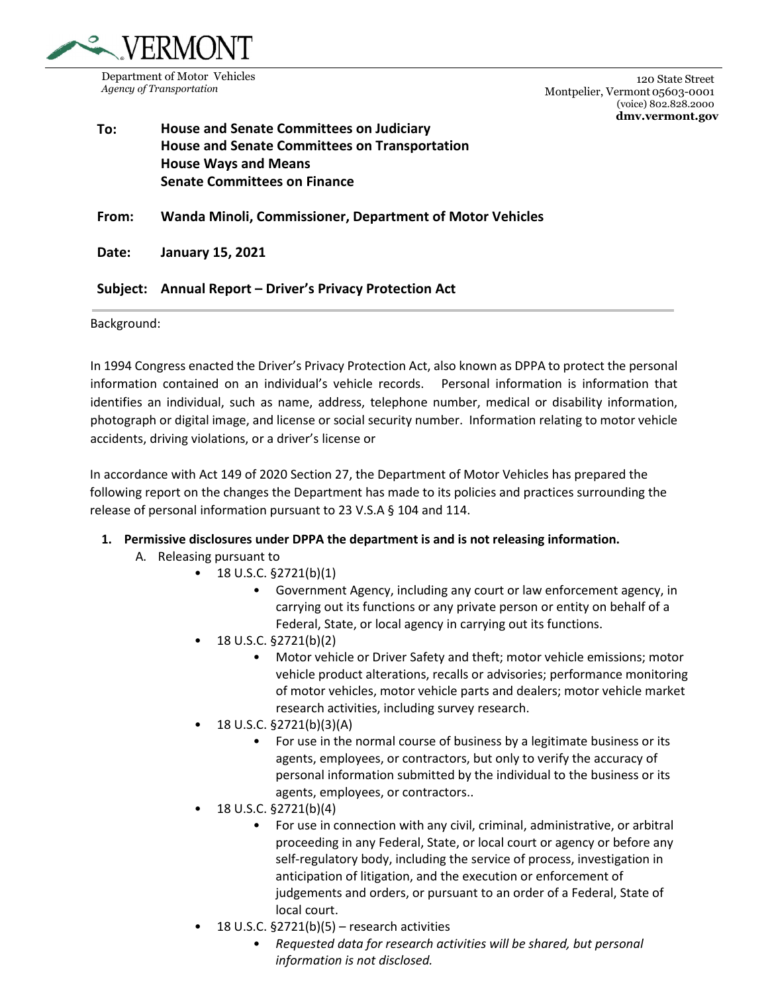

120 State Street Montpelier, Vermont 05603-0001 (voice) 802.828.2000 **[dmv.vermont.g](http://www.dmv.vermont./)ov**

# **To: House and Senate Committees on Judiciary House and Senate Committees on Transportation House Ways and Means Senate Committees on Finance**

**From: Wanda Minoli, Commissioner, Department of Motor Vehicles**

**Date: January 15, 2021** 

## **Subject: Annual Report – Driver's Privacy Protection Act**

Background:

In 1994 Congress enacted the Driver's Privacy Protection Act, also known as DPPA to protect the personal information contained on an individual's vehicle records. Personal information is information that identifies an individual, such as name, address, telephone number, medical or disability information, photograph or digital image, and license or social security number. Information relating to motor vehicle accidents, driving violations, or a driver's license or

In accordance with Act 149 of 2020 Section 27, the Department of Motor Vehicles has prepared the following report on the changes the Department has made to its policies and practices surrounding the release of personal information pursuant to 23 V.S.A § 104 and 114.

### **1. Permissive disclosures under DPPA the department is and is not releasing information.**

- A. Releasing pursuant to
	- $18 \text{ U.S.C.}$   $\S 2721(b)(1)$ 
		- Government Agency, including any court or law enforcement agency, in carrying out its functions or any private person or entity on behalf of a Federal, State, or local agency in carrying out its functions.
		- 18 U.S.C. §2721(b)(2)
			- Motor vehicle or Driver Safety and theft; motor vehicle emissions; motor vehicle product alterations, recalls or advisories; performance monitoring of motor vehicles, motor vehicle parts and dealers; motor vehicle market research activities, including survey research.
	- 18 U.S.C. §2721(b)(3)(A)
		- For use in the normal course of business by a legitimate business or its agents, employees, or contractors, but only to verify the accuracy of personal information submitted by the individual to the business or its agents, employees, or contractors..
	- 18 U.S.C. §2721(b)(4)
		- For use in connection with any civil, criminal, administrative, or arbitral proceeding in any Federal, State, or local court or agency or before any self-regulatory body, including the service of process, investigation in anticipation of litigation, and the execution or enforcement of judgements and orders, or pursuant to an order of a Federal, State of local court.
	- 18 U.S.C. §2721(b)(5) research activities
		- *Requested data for research activities will be shared, but personal information is not disclosed.*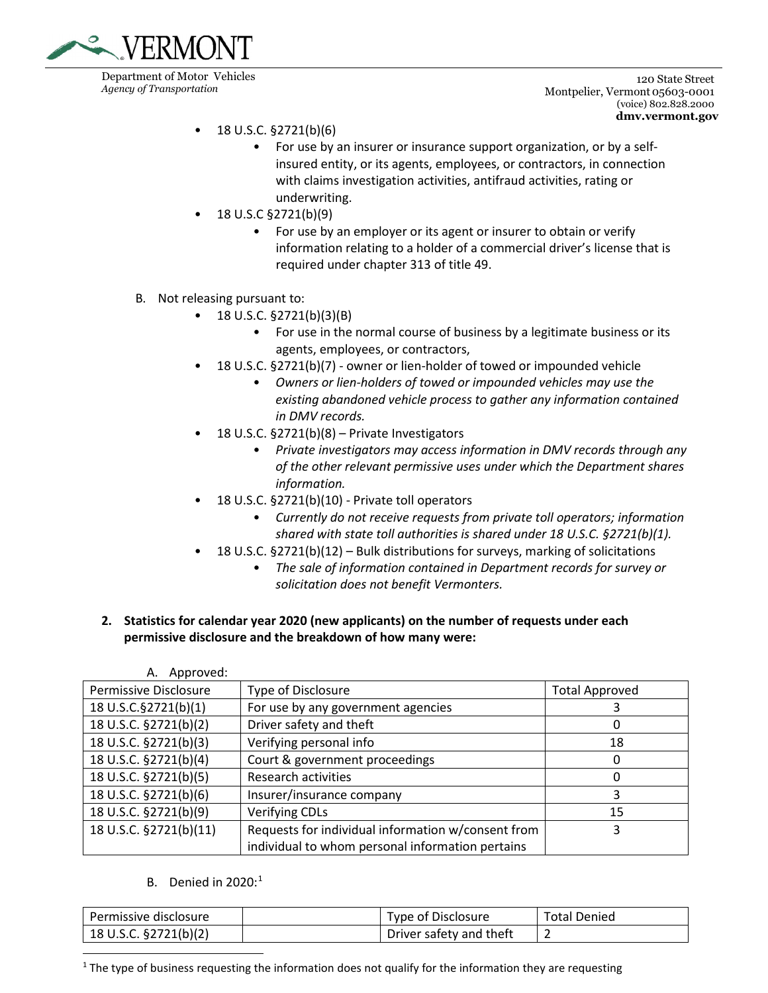

120 State Street Montpelier, Vermont 05603-0001 (voice) 802.828.2000 **[dmv.vermont.g](http://www.dmv.vermont./)ov**

- 18 U.S.C. §2721(b)(6)
	- For use by an insurer or insurance support organization, or by a selfinsured entity, or its agents, employees, or contractors, in connection with claims investigation activities, antifraud activities, rating or underwriting.
- 18 U.S.C §2721(b)(9)
	- For use by an employer or its agent or insurer to obtain or verify information relating to a holder of a commercial driver's license that is required under chapter 313 of title 49.
- B. Not releasing pursuant to:
	- 18 U.S.C.  $\S 2721(b)(3)(B)$ 
		- For use in the normal course of business by a legitimate business or its agents, employees, or contractors,
	- 18 U.S.C. §2721(b)(7) owner or lien-holder of towed or impounded vehicle
		- *Owners or lien-holders of towed or impounded vehicles may use the existing abandoned vehicle process to gather any information contained in DMV records.*
	- 18 U.S.C. §2721(b)(8) Private Investigators
		- *Private investigators may access information in DMV records through any of the other relevant permissive uses under which the Department shares information.*
	- 18 U.S.C. §2721(b)(10) Private toll operators
		- *Currently do not receive requests from private toll operators; information shared with state toll authorities is shared under 18 U.S.C. §2721(b)(1).*
	- 18 U.S.C. §2721(b)(12) Bulk distributions for surveys, marking of solicitations
		- *The sale of information contained in Department records for survey or solicitation does not benefit Vermonters.*
- **2. Statistics for calendar year 2020 (new applicants) on the number of requests under each permissive disclosure and the breakdown of how many were:**

| Approved:<br>А.              |                                                    |                       |
|------------------------------|----------------------------------------------------|-----------------------|
| <b>Permissive Disclosure</b> | Type of Disclosure                                 | <b>Total Approved</b> |
| 18 U.S.C.§2721(b)(1)         | For use by any government agencies                 |                       |
| 18 U.S.C. §2721(b)(2)        | Driver safety and theft                            | 0                     |
| 18 U.S.C. §2721(b)(3)        | Verifying personal info                            | 18                    |
| 18 U.S.C. §2721(b)(4)        | Court & government proceedings                     | 0                     |
| 18 U.S.C. §2721(b)(5)        | Research activities                                | 0                     |
| 18 U.S.C. §2721(b)(6)        | Insurer/insurance company                          | 3                     |
| 18 U.S.C. §2721(b)(9)        | <b>Verifying CDLs</b>                              | 15                    |
| 18 U.S.C. §2721(b)(11)       | Requests for individual information w/consent from | 3                     |
|                              | individual to whom personal information pertains   |                       |

B. Denied in  $2020$ :<sup>[1](#page-1-0)</sup>

| Permissive disclosure     | Type of Disclosure      | <b>Total Denied</b> |
|---------------------------|-------------------------|---------------------|
| 18 U.S.C. $\S$ 2721(b)(2) | Driver safety and theft |                     |

<span id="page-1-0"></span> $<sup>1</sup>$  The type of business requesting the information does not qualify for the information they are requesting</sup>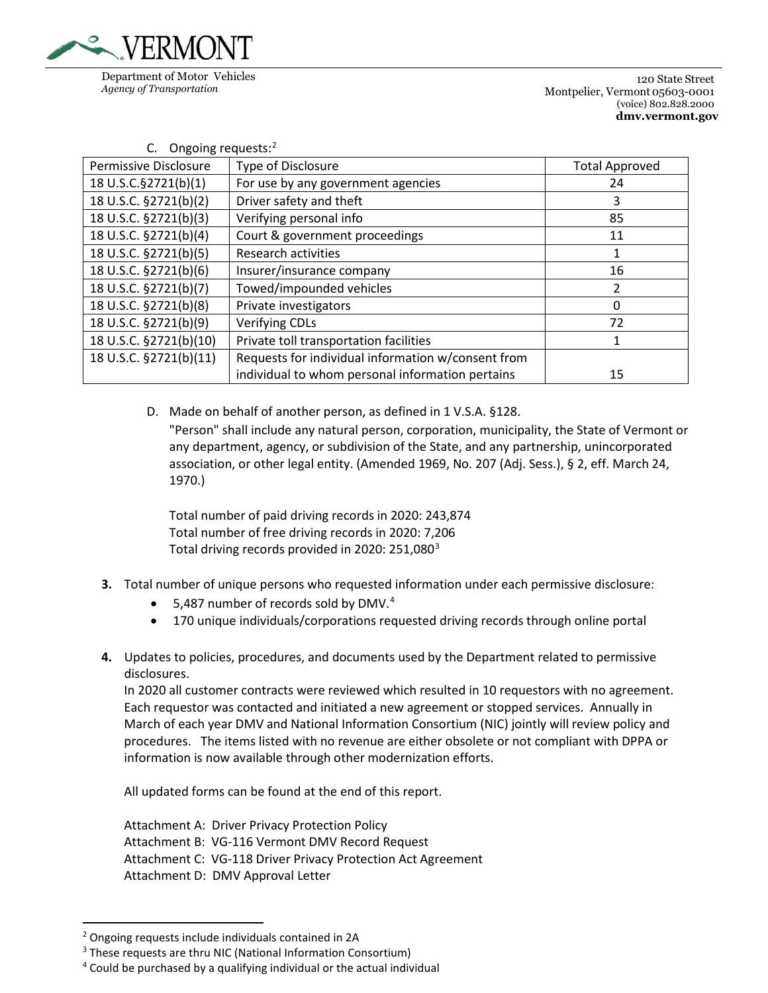

| Ongoing requests: <sup>2</sup><br>C. |                                                    |                       |  |  |
|--------------------------------------|----------------------------------------------------|-----------------------|--|--|
| Permissive Disclosure                | Type of Disclosure                                 | <b>Total Approved</b> |  |  |
| 18 U.S.C.§2721(b)(1)                 | For use by any government agencies                 | 24                    |  |  |
| 18 U.S.C. §2721(b)(2)                | Driver safety and theft                            | 3                     |  |  |
| 18 U.S.C. §2721(b)(3)                | Verifying personal info                            | 85                    |  |  |
| 18 U.S.C. §2721(b)(4)                | Court & government proceedings                     | 11                    |  |  |
| 18 U.S.C. §2721(b)(5)                | <b>Research activities</b>                         | 1                     |  |  |
| 18 U.S.C. §2721(b)(6)                | Insurer/insurance company                          | 16                    |  |  |
| 18 U.S.C. §2721(b)(7)                | Towed/impounded vehicles                           | $\overline{2}$        |  |  |
| 18 U.S.C. §2721(b)(8)                | Private investigators                              | $\Omega$              |  |  |
| 18 U.S.C. §2721(b)(9)                | <b>Verifying CDLs</b>                              | 72                    |  |  |
| 18 U.S.C. §2721(b)(10)               | Private toll transportation facilities             | 1                     |  |  |
| 18 U.S.C. §2721(b)(11)               | Requests for individual information w/consent from |                       |  |  |
|                                      | individual to whom personal information pertains   | 15                    |  |  |

D. Made on behalf of another person, as defined in 1 V.S.A. §128. "Person" shall include any natural person, corporation, municipality, the State of Vermont or any department, agency, or subdivision of the State, and any partnership, unincorporated association, or other legal entity. (Amended 1969, No. 207 (Adj. Sess.), § 2, eff. March 24, 1970.)

Total number of paid driving records in 2020: 243,874 Total number of free driving records in 2020: 7,206 Total driving records provided in 2020: 251,080 $^3$  $^3$ 

- **3.** Total number of unique persons who requested information under each permissive disclosure:
	- $\bullet$  5,[4](#page-2-2)87 number of records sold by DMV.<sup>4</sup>
	- 170 unique individuals/corporations requested driving records through online portal
- **4.** Updates to policies, procedures, and documents used by the Department related to permissive disclosures.

In 2020 all customer contracts were reviewed which resulted in 10 requestors with no agreement. Each requestor was contacted and initiated a new agreement or stopped services. Annually in March of each year DMV and National Information Consortium (NIC) jointly will review policy and procedures. The items listed with no revenue are either obsolete or not compliant with DPPA or information is now available through other modernization efforts.

All updated forms can be found at the end of this report.

Attachment A: Driver Privacy Protection Policy Attachment B: VG-116 Vermont DMV Record Request Attachment C: VG-118 Driver Privacy Protection Act Agreement Attachment D: DMV Approval Letter

<span id="page-2-0"></span><sup>2</sup> Ongoing requests include individuals contained in 2A

<span id="page-2-1"></span><sup>&</sup>lt;sup>3</sup> These requests are thru NIC (National Information Consortium)

<span id="page-2-2"></span><sup>4</sup> Could be purchased by a qualifying individual or the actual individual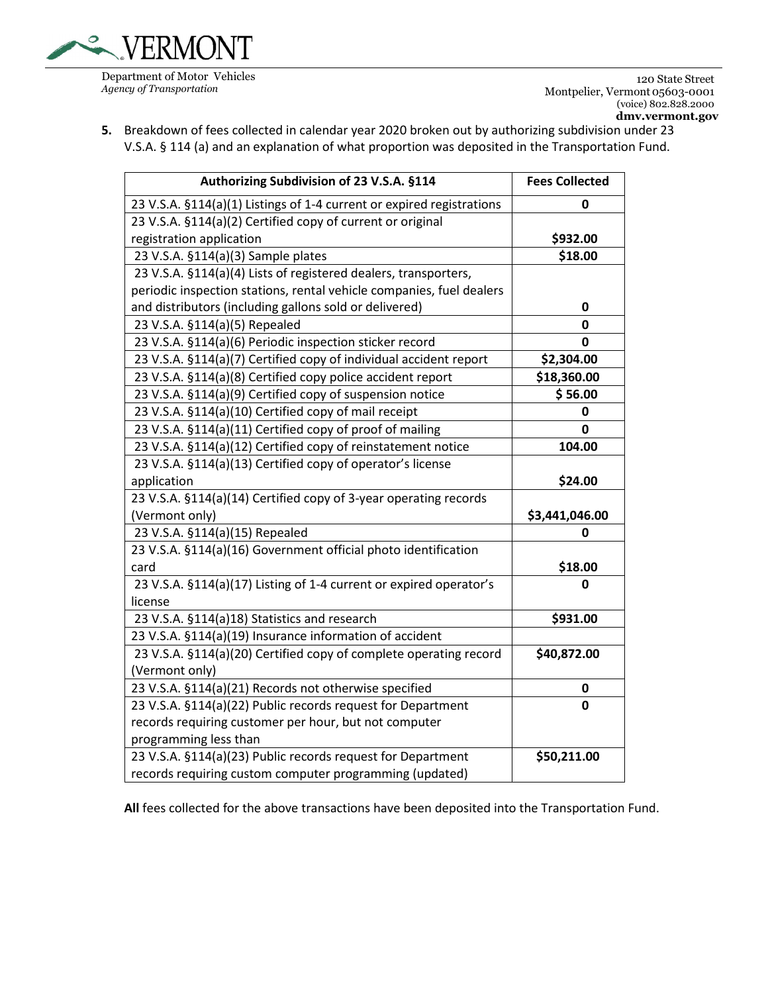

120 State Street Montpelier, Vermont 05603-0001 (voice) 802.828.2000

**5.** Breakdown of fees collected in calendar year 2020 broken out by authorizing subdivision under 23 V.S.A. § 114 (a) and an explanation of what proportion was deposited in the Transportation Fund.

| Authorizing Subdivision of 23 V.S.A. §114                             | <b>Fees Collected</b> |
|-----------------------------------------------------------------------|-----------------------|
| 23 V.S.A. §114(a)(1) Listings of 1-4 current or expired registrations | 0                     |
| 23 V.S.A. §114(a)(2) Certified copy of current or original            |                       |
| registration application                                              | \$932.00              |
| 23 V.S.A. §114(a)(3) Sample plates                                    | \$18.00               |
| 23 V.S.A. §114(a)(4) Lists of registered dealers, transporters,       |                       |
| periodic inspection stations, rental vehicle companies, fuel dealers  |                       |
| and distributors (including gallons sold or delivered)                | $\mathbf 0$           |
| 23 V.S.A. §114(a)(5) Repealed                                         | 0                     |
| 23 V.S.A. §114(a)(6) Periodic inspection sticker record               | 0                     |
| 23 V.S.A. §114(a)(7) Certified copy of individual accident report     | \$2,304.00            |
| 23 V.S.A. §114(a)(8) Certified copy police accident report            | \$18,360.00           |
| 23 V.S.A. §114(a)(9) Certified copy of suspension notice              | \$56.00               |
| 23 V.S.A. §114(a)(10) Certified copy of mail receipt                  | 0                     |
| 23 V.S.A. §114(a)(11) Certified copy of proof of mailing              | 0                     |
| 23 V.S.A. §114(a)(12) Certified copy of reinstatement notice          | 104.00                |
| 23 V.S.A. §114(a)(13) Certified copy of operator's license            |                       |
| application                                                           | \$24.00               |
| 23 V.S.A. §114(a)(14) Certified copy of 3-year operating records      |                       |
| (Vermont only)                                                        | \$3,441,046.00        |
| 23 V.S.A. §114(a)(15) Repealed                                        | 0                     |
| 23 V.S.A. §114(a)(16) Government official photo identification        |                       |
| card                                                                  | \$18.00               |
| 23 V.S.A. §114(a)(17) Listing of 1-4 current or expired operator's    | O                     |
| license                                                               |                       |
| 23 V.S.A. §114(a)18) Statistics and research                          | \$931.00              |
| 23 V.S.A. §114(a)(19) Insurance information of accident               |                       |
| 23 V.S.A. §114(a)(20) Certified copy of complete operating record     | \$40,872.00           |
| (Vermont only)                                                        |                       |
| 23 V.S.A. §114(a)(21) Records not otherwise specified                 | 0                     |
| 23 V.S.A. §114(a)(22) Public records request for Department           | 0                     |
| records requiring customer per hour, but not computer                 |                       |
| programming less than                                                 |                       |
| 23 V.S.A. §114(a)(23) Public records request for Department           | \$50,211.00           |
| records requiring custom computer programming (updated)               |                       |

**All** fees collected for the above transactions have been deposited into the Transportation Fund.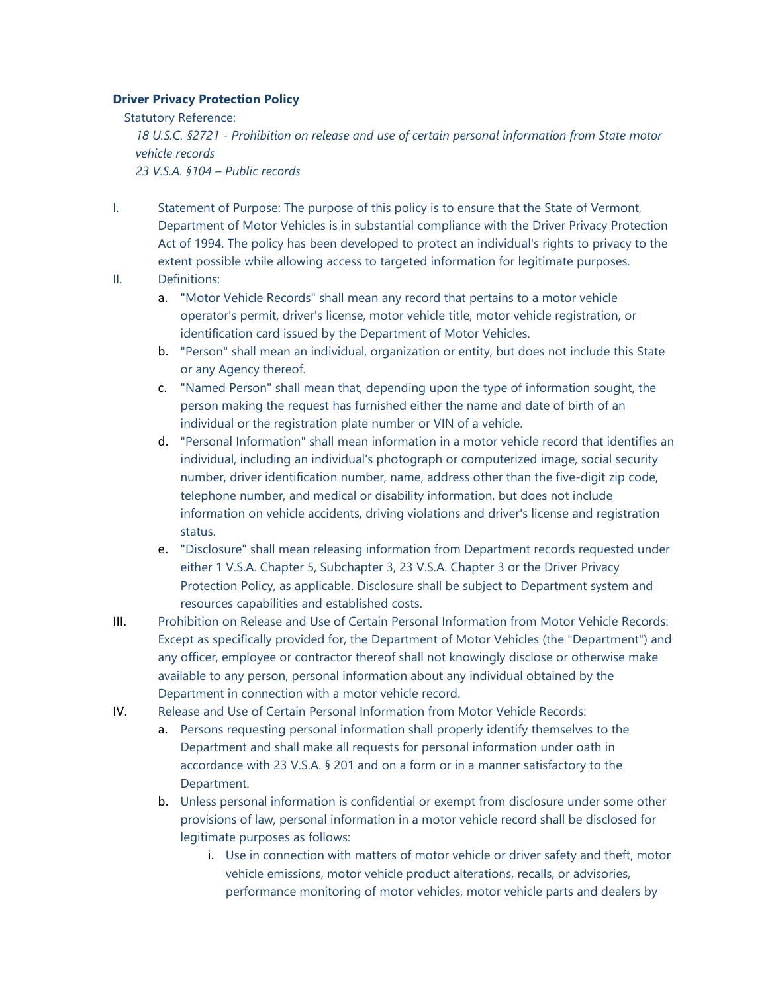### **Driver Privacy Protection Policy**

Statutory Reference: *18 U.S.C. §2721 - Prohibition on release and use of certain personal information from State motor vehicle records 23 V.S.A. §104 – Public records*

- I. Statement of Purpose: The purpose of this policy is to ensure that the State of Vermont, Department of Motor Vehicles is in substantial compliance with the Driver Privacy Protection Act of 1994. The policy has been developed to protect an individual's rights to privacy to the extent possible while allowing access to targeted information for legitimate purposes.
- II. Definitions:
	- a. "Motor Vehicle Records" shall mean any record that pertains to a motor vehicle operator's permit, driver's license, motor vehicle title, motor vehicle registration, or identification card issued by the Department of Motor Vehicles.
	- b. "Person" shall mean an individual, organization or entity, but does not include this State or any Agency thereof.
	- c. "Named Person" shall mean that, depending upon the type of information sought, the person making the request has furnished either the name and date of birth of an individual or the registration plate number or VIN of a vehicle.
	- d. "Personal Information" shall mean information in a motor vehicle record that identifies an individual, including an individual's photograph or computerized image, social security number, driver identification number, name, address other than the five-digit zip code, telephone number, and medical or disability information, but does not include information on vehicle accidents, driving violations and driver's license and registration status.
	- e. "Disclosure" shall mean releasing information from Department records requested under either 1 V.S.A. Chapter 5, Subchapter 3, 23 V.S.A. Chapter 3 or the Driver Privacy Protection Policy, as applicable. Disclosure shall be subject to Department system and resources capabilities and established costs.
- III. Prohibition on Release and Use of Certain Personal Information from Motor Vehicle Records: Except as specifically provided for, the Department of Motor Vehicles (the "Department") and any officer, employee or contractor thereof shall not knowingly disclose or otherwise make available to any person, personal information about any individual obtained by the Department in connection with a motor vehicle record.
- IV. Release and Use of Certain Personal Information from Motor Vehicle Records:
	- a. Persons requesting personal information shall properly identify themselves to the Department and shall make all requests for personal information under oath in accordance with 23 V.S.A. § 201 and on a form or in a manner satisfactory to the Department.
	- b. Unless personal information is confidential or exempt from disclosure under some other provisions of law, personal information in a motor vehicle record shall be disclosed for legitimate purposes as follows:
		- i. Use in connection with matters of motor vehicle or driver safety and theft, motor vehicle emissions, motor vehicle product alterations, recalls, or advisories, performance monitoring of motor vehicles, motor vehicle parts and dealers by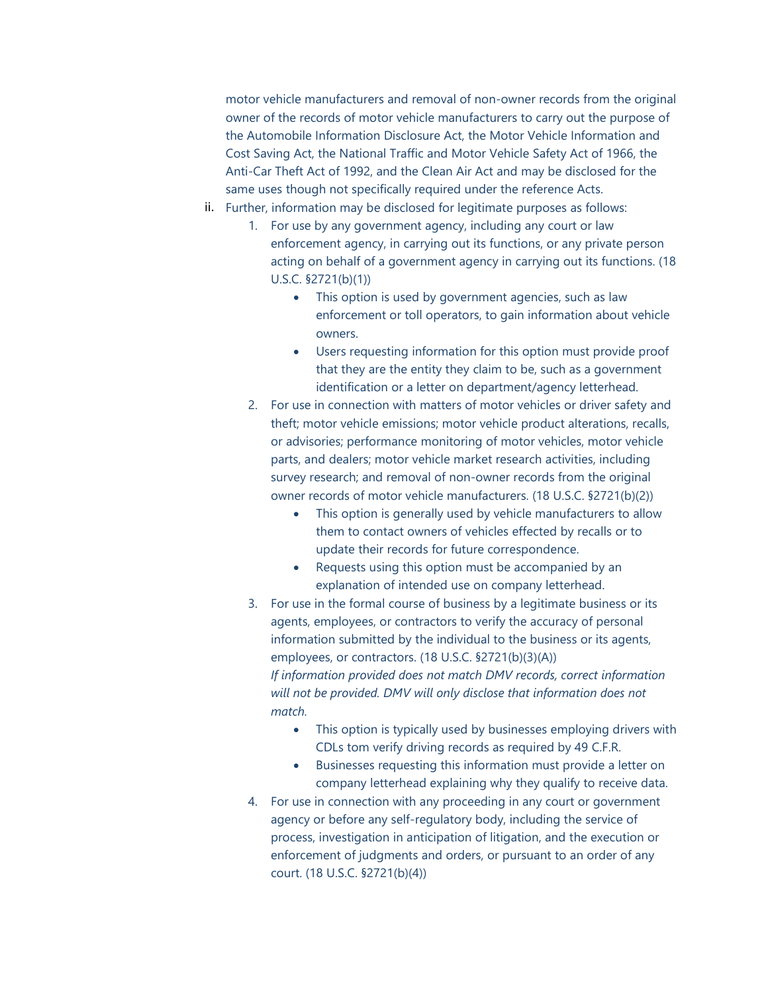motor vehicle manufacturers and removal of non-owner records from the original owner of the records of motor vehicle manufacturers to carry out the purpose of the Automobile Information Disclosure Act, the Motor Vehicle Information and Cost Saving Act, the National Traffic and Motor Vehicle Safety Act of 1966, the Anti-Car Theft Act of 1992, and the Clean Air Act and may be disclosed for the same uses though not specifically required under the reference Acts.

- ii. Further, information may be disclosed for legitimate purposes as follows:
	- 1. For use by any government agency, including any court or law enforcement agency, in carrying out its functions, or any private person acting on behalf of a government agency in carrying out its functions. (18 U.S.C. §2721(b)(1))
		- This option is used by government agencies, such as law enforcement or toll operators, to gain information about vehicle owners.
		- Users requesting information for this option must provide proof that they are the entity they claim to be, such as a government identification or a letter on department/agency letterhead.
	- 2. For use in connection with matters of motor vehicles or driver safety and theft; motor vehicle emissions; motor vehicle product alterations, recalls, or advisories; performance monitoring of motor vehicles, motor vehicle parts, and dealers; motor vehicle market research activities, including survey research; and removal of non-owner records from the original owner records of motor vehicle manufacturers. (18 U.S.C. §2721(b)(2))
		- This option is generally used by vehicle manufacturers to allow them to contact owners of vehicles effected by recalls or to update their records for future correspondence.
		- Requests using this option must be accompanied by an explanation of intended use on company letterhead.
	- 3. For use in the formal course of business by a legitimate business or its agents, employees, or contractors to verify the accuracy of personal information submitted by the individual to the business or its agents, employees, or contractors. (18 U.S.C. §2721(b)(3)(A)) *If information provided does not match DMV records, correct information will not be provided. DMV will only disclose that information does not match.* 
		- This option is typically used by businesses employing drivers with CDLs tom verify driving records as required by 49 C.F.R.
		- Businesses requesting this information must provide a letter on company letterhead explaining why they qualify to receive data.
	- 4. For use in connection with any proceeding in any court or government agency or before any self-regulatory body, including the service of process, investigation in anticipation of litigation, and the execution or enforcement of judgments and orders, or pursuant to an order of any court. (18 U.S.C. §2721(b)(4))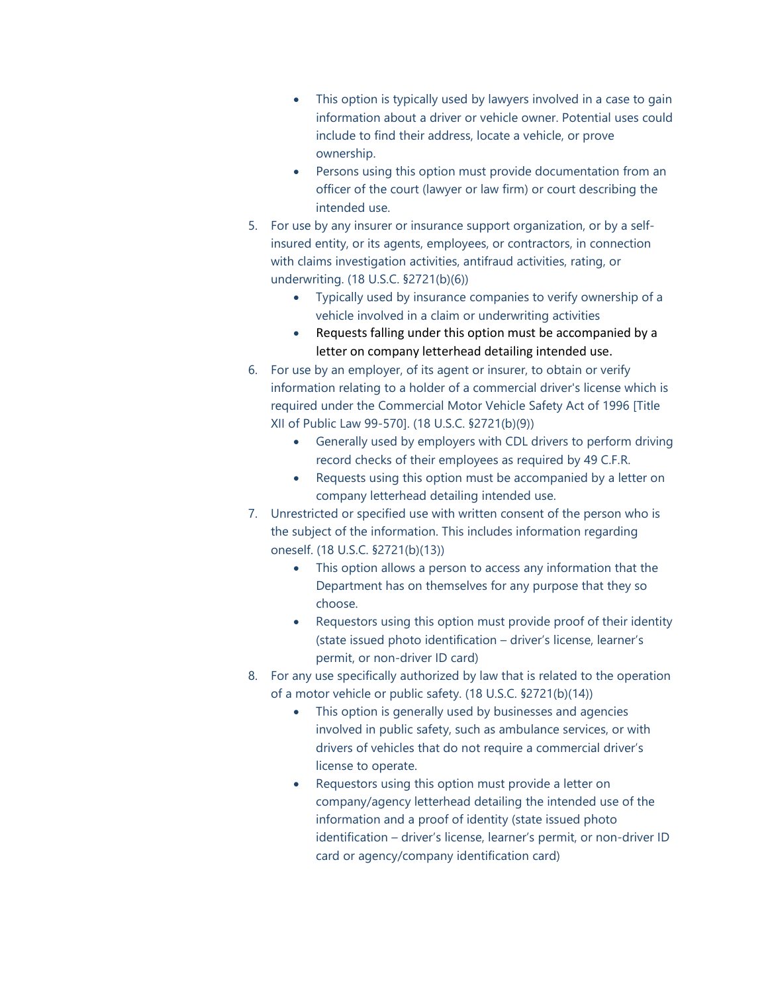- This option is typically used by lawyers involved in a case to gain information about a driver or vehicle owner. Potential uses could include to find their address, locate a vehicle, or prove ownership.
- Persons using this option must provide documentation from an officer of the court (lawyer or law firm) or court describing the intended use.
- 5. For use by any insurer or insurance support organization, or by a selfinsured entity, or its agents, employees, or contractors, in connection with claims investigation activities, antifraud activities, rating, or underwriting. (18 U.S.C. §2721(b)(6))
	- Typically used by insurance companies to verify ownership of a vehicle involved in a claim or underwriting activities
	- Requests falling under this option must be accompanied by a letter on company letterhead detailing intended use.
- 6. For use by an employer, of its agent or insurer, to obtain or verify information relating to a holder of a commercial driver's license which is required under the Commercial Motor Vehicle Safety Act of 1996 [Title XII of Public Law 99-570]. (18 U.S.C. §2721(b)(9))
	- Generally used by employers with CDL drivers to perform driving record checks of their employees as required by 49 C.F.R.
	- Requests using this option must be accompanied by a letter on company letterhead detailing intended use.
- 7. Unrestricted or specified use with written consent of the person who is the subject of the information. This includes information regarding oneself. (18 U.S.C. §2721(b)(13))
	- This option allows a person to access any information that the Department has on themselves for any purpose that they so choose.
	- Requestors using this option must provide proof of their identity (state issued photo identification – driver's license, learner's permit, or non-driver ID card)
- 8. For any use specifically authorized by law that is related to the operation of a motor vehicle or public safety. (18 U.S.C. §2721(b)(14))
	- This option is generally used by businesses and agencies involved in public safety, such as ambulance services, or with drivers of vehicles that do not require a commercial driver's license to operate.
	- Requestors using this option must provide a letter on company/agency letterhead detailing the intended use of the information and a proof of identity (state issued photo identification – driver's license, learner's permit, or non-driver ID card or agency/company identification card)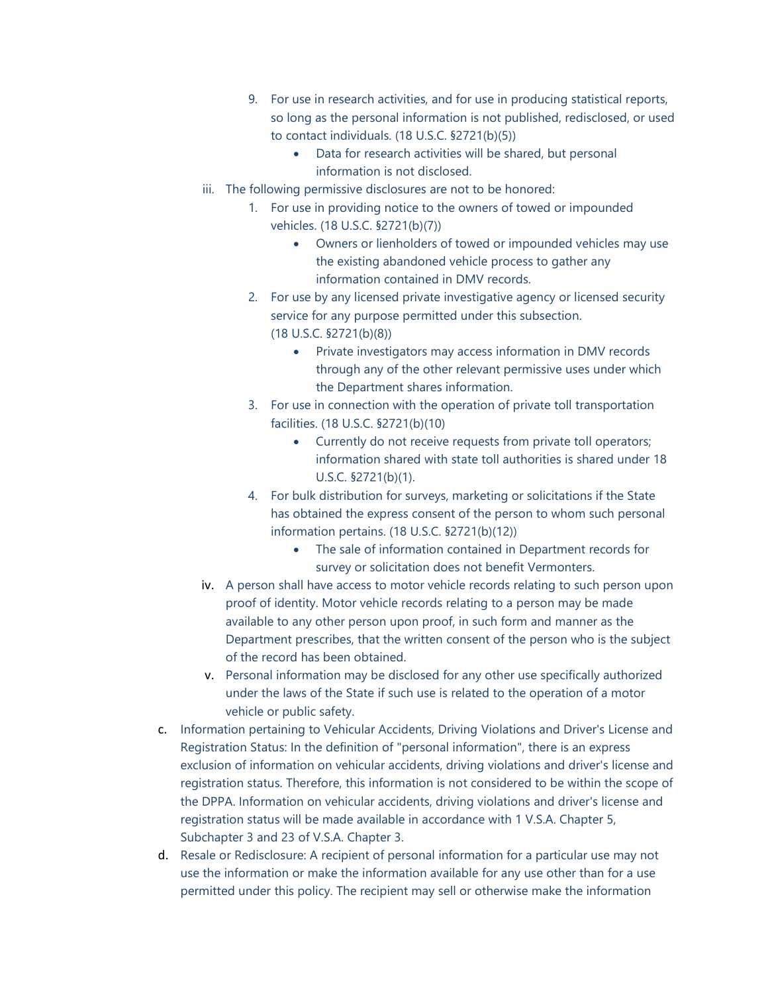- 9. For use in research activities, and for use in producing statistical reports, so long as the personal information is not published, redisclosed, or used to contact individuals. (18 U.S.C. §2721(b)(5))
	- Data for research activities will be shared, but personal information is not disclosed.
- iii. The following permissive disclosures are not to be honored:
	- 1. For use in providing notice to the owners of towed or impounded vehicles. (18 U.S.C. §2721(b)(7))
		- Owners or lienholders of towed or impounded vehicles may use the existing abandoned vehicle process to gather any information contained in DMV records.
	- 2. For use by any licensed private investigative agency or licensed security service for any purpose permitted under this subsection. (18 U.S.C. §2721(b)(8))
		- Private investigators may access information in DMV records through any of the other relevant permissive uses under which the Department shares information.
	- 3. For use in connection with the operation of private toll transportation facilities. (18 U.S.C. §2721(b)(10)
		- Currently do not receive requests from private toll operators; information shared with state toll authorities is shared under 18 U.S.C. §2721(b)(1).
	- 4. For bulk distribution for surveys, marketing or solicitations if the State has obtained the express consent of the person to whom such personal information pertains. (18 U.S.C. §2721(b)(12))
		- The sale of information contained in Department records for survey or solicitation does not benefit Vermonters.
- iv. A person shall have access to motor vehicle records relating to such person upon proof of identity. Motor vehicle records relating to a person may be made available to any other person upon proof, in such form and manner as the Department prescribes, that the written consent of the person who is the subject of the record has been obtained.
- v. Personal information may be disclosed for any other use specifically authorized under the laws of the State if such use is related to the operation of a motor vehicle or public safety.
- c. Information pertaining to Vehicular Accidents, Driving Violations and Driver's License and Registration Status: In the definition of "personal information", there is an express exclusion of information on vehicular accidents, driving violations and driver's license and registration status. Therefore, this information is not considered to be within the scope of the DPPA. Information on vehicular accidents, driving violations and driver's license and registration status will be made available in accordance with 1 V.S.A. Chapter 5, Subchapter 3 and 23 of V.S.A. Chapter 3.
- d. Resale or Redisclosure: A recipient of personal information for a particular use may not use the information or make the information available for any use other than for a use permitted under this policy. The recipient may sell or otherwise make the information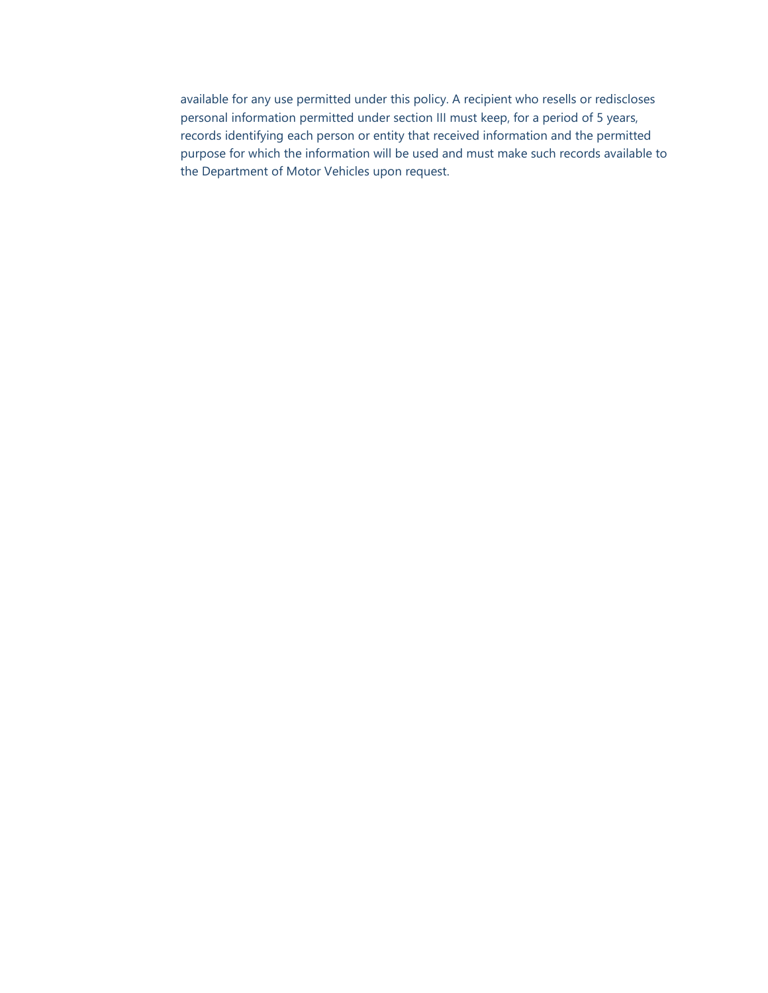available for any use permitted under this policy. A recipient who resells or rediscloses personal information permitted under section III must keep, for a period of 5 years, records identifying each person or entity that received information and the permitted purpose for which the information will be used and must make such records available to the Department of Motor Vehicles upon request.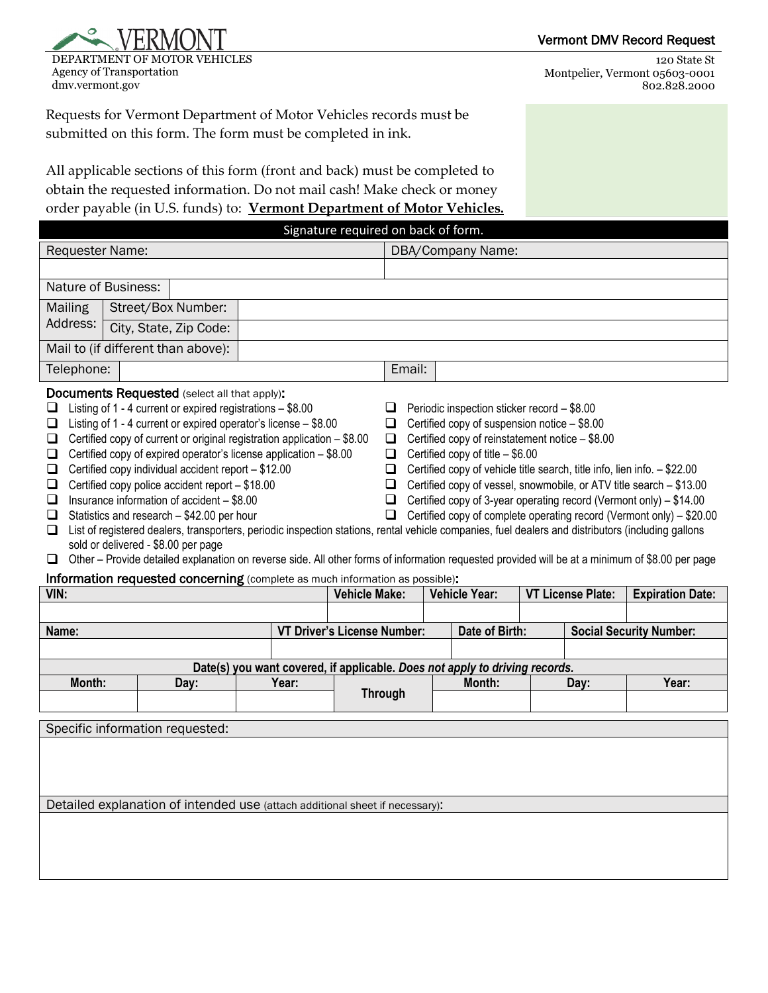

DEPARTMENT OF MOTOR VEHICLES Agency of Transportation dmv.vermont.gov

120 State St Montpelier, Vermont 05603-0001 802.828.2000

Requests for Vermont Department of Motor Vehicles records must be submitted on this form. The form must be completed in ink.

All applicable sections of this form (front and back) must be completed to obtain the requested information. Do not mail cash! Make check or money order payable (in U.S. funds) to: **Vermont Department of Motor Vehicles.**

| Signature required on back of form.                                                                                                                                                                                                                                                                                                                                                                                                                                                                                                                                                                                                                                                                                                                                                                                                                                                                                                                                                                                                                                                                                                                                                                                                                                                                                                                                                                                                                                                     |                                                                              |                                                                             |                                    |                   |                         |                                |
|-----------------------------------------------------------------------------------------------------------------------------------------------------------------------------------------------------------------------------------------------------------------------------------------------------------------------------------------------------------------------------------------------------------------------------------------------------------------------------------------------------------------------------------------------------------------------------------------------------------------------------------------------------------------------------------------------------------------------------------------------------------------------------------------------------------------------------------------------------------------------------------------------------------------------------------------------------------------------------------------------------------------------------------------------------------------------------------------------------------------------------------------------------------------------------------------------------------------------------------------------------------------------------------------------------------------------------------------------------------------------------------------------------------------------------------------------------------------------------------------|------------------------------------------------------------------------------|-----------------------------------------------------------------------------|------------------------------------|-------------------|-------------------------|--------------------------------|
| <b>Requester Name:</b>                                                                                                                                                                                                                                                                                                                                                                                                                                                                                                                                                                                                                                                                                                                                                                                                                                                                                                                                                                                                                                                                                                                                                                                                                                                                                                                                                                                                                                                                  |                                                                              |                                                                             |                                    | DBA/Company Name: |                         |                                |
|                                                                                                                                                                                                                                                                                                                                                                                                                                                                                                                                                                                                                                                                                                                                                                                                                                                                                                                                                                                                                                                                                                                                                                                                                                                                                                                                                                                                                                                                                         |                                                                              |                                                                             |                                    |                   |                         |                                |
| <b>Nature of Business:</b>                                                                                                                                                                                                                                                                                                                                                                                                                                                                                                                                                                                                                                                                                                                                                                                                                                                                                                                                                                                                                                                                                                                                                                                                                                                                                                                                                                                                                                                              |                                                                              |                                                                             |                                    |                   |                         |                                |
| Mailing<br>Street/Box Number:                                                                                                                                                                                                                                                                                                                                                                                                                                                                                                                                                                                                                                                                                                                                                                                                                                                                                                                                                                                                                                                                                                                                                                                                                                                                                                                                                                                                                                                           |                                                                              |                                                                             |                                    |                   |                         |                                |
| Address:<br>City, State, Zip Code:                                                                                                                                                                                                                                                                                                                                                                                                                                                                                                                                                                                                                                                                                                                                                                                                                                                                                                                                                                                                                                                                                                                                                                                                                                                                                                                                                                                                                                                      |                                                                              |                                                                             |                                    |                   |                         |                                |
| Mail to (if different than above):                                                                                                                                                                                                                                                                                                                                                                                                                                                                                                                                                                                                                                                                                                                                                                                                                                                                                                                                                                                                                                                                                                                                                                                                                                                                                                                                                                                                                                                      |                                                                              |                                                                             |                                    |                   |                         |                                |
| Telephone:                                                                                                                                                                                                                                                                                                                                                                                                                                                                                                                                                                                                                                                                                                                                                                                                                                                                                                                                                                                                                                                                                                                                                                                                                                                                                                                                                                                                                                                                              |                                                                              |                                                                             | Email:                             |                   |                         |                                |
| <b>Documents Requested</b> (select all that apply):<br>Listing of 1 - 4 current or expired registrations - \$8.00<br>□<br>Periodic inspection sticker record - \$8.00<br>⊔<br>Listing of 1 - 4 current or expired operator's license - \$8.00<br>Certified copy of suspension notice - \$8.00<br>□<br>□<br>Certified copy of current or original registration application - \$8.00<br>Certified copy of reinstatement notice - \$8.00<br>$\Box$<br>□<br>Certified copy of expired operator's license application - \$8.00<br>Certified copy of title $-$ \$6.00<br>□<br>□<br>Certified copy individual accident report - \$12.00<br>Certified copy of vehicle title search, title info, lien info. - \$22.00<br>❏<br>□<br>Certified copy police accident report - \$18.00<br>Certified copy of vessel, snowmobile, or ATV title search - \$13.00<br>❏<br>□<br>Insurance information of accident - \$8.00<br>Certified copy of 3-year operating record (Vermont only) - \$14.00<br>□<br>□<br>Statistics and research - \$42.00 per hour<br>Certified copy of complete operating record (Vermont only) - \$20.00<br>$\Box$<br>□<br>List of registered dealers, transporters, periodic inspection stations, rental vehicle companies, fuel dealers and distributors (including gallons<br>□<br>sold or delivered - \$8.00 per page<br>Other - Provide detailed explanation on reverse side. All other forms of information requested provided will be at a minimum of \$8.00 per page<br>□ |                                                                              |                                                                             |                                    |                   |                         |                                |
| Information requested concerning (complete as much information as possible):<br>VIN:<br><b>Vehicle Make:</b><br><b>Vehicle Year:</b><br><b>VT License Plate:</b>                                                                                                                                                                                                                                                                                                                                                                                                                                                                                                                                                                                                                                                                                                                                                                                                                                                                                                                                                                                                                                                                                                                                                                                                                                                                                                                        |                                                                              |                                                                             |                                    |                   | <b>Expiration Date:</b> |                                |
|                                                                                                                                                                                                                                                                                                                                                                                                                                                                                                                                                                                                                                                                                                                                                                                                                                                                                                                                                                                                                                                                                                                                                                                                                                                                                                                                                                                                                                                                                         |                                                                              |                                                                             |                                    |                   |                         |                                |
| Name:                                                                                                                                                                                                                                                                                                                                                                                                                                                                                                                                                                                                                                                                                                                                                                                                                                                                                                                                                                                                                                                                                                                                                                                                                                                                                                                                                                                                                                                                                   |                                                                              |                                                                             | <b>VT Driver's License Number:</b> | Date of Birth:    |                         | <b>Social Security Number:</b> |
|                                                                                                                                                                                                                                                                                                                                                                                                                                                                                                                                                                                                                                                                                                                                                                                                                                                                                                                                                                                                                                                                                                                                                                                                                                                                                                                                                                                                                                                                                         |                                                                              |                                                                             |                                    |                   |                         |                                |
|                                                                                                                                                                                                                                                                                                                                                                                                                                                                                                                                                                                                                                                                                                                                                                                                                                                                                                                                                                                                                                                                                                                                                                                                                                                                                                                                                                                                                                                                                         |                                                                              | Date(s) you want covered, if applicable. Does not apply to driving records. |                                    |                   |                         |                                |
| Month:                                                                                                                                                                                                                                                                                                                                                                                                                                                                                                                                                                                                                                                                                                                                                                                                                                                                                                                                                                                                                                                                                                                                                                                                                                                                                                                                                                                                                                                                                  | Day:                                                                         | Year:                                                                       | <b>Through</b>                     | Month:            | Day:                    | Year:                          |
|                                                                                                                                                                                                                                                                                                                                                                                                                                                                                                                                                                                                                                                                                                                                                                                                                                                                                                                                                                                                                                                                                                                                                                                                                                                                                                                                                                                                                                                                                         |                                                                              |                                                                             |                                    |                   |                         |                                |
|                                                                                                                                                                                                                                                                                                                                                                                                                                                                                                                                                                                                                                                                                                                                                                                                                                                                                                                                                                                                                                                                                                                                                                                                                                                                                                                                                                                                                                                                                         | Specific information requested:                                              |                                                                             |                                    |                   |                         |                                |
|                                                                                                                                                                                                                                                                                                                                                                                                                                                                                                                                                                                                                                                                                                                                                                                                                                                                                                                                                                                                                                                                                                                                                                                                                                                                                                                                                                                                                                                                                         |                                                                              |                                                                             |                                    |                   |                         |                                |
|                                                                                                                                                                                                                                                                                                                                                                                                                                                                                                                                                                                                                                                                                                                                                                                                                                                                                                                                                                                                                                                                                                                                                                                                                                                                                                                                                                                                                                                                                         | Detailed explanation of intended use (attach additional sheet if necessary): |                                                                             |                                    |                   |                         |                                |
|                                                                                                                                                                                                                                                                                                                                                                                                                                                                                                                                                                                                                                                                                                                                                                                                                                                                                                                                                                                                                                                                                                                                                                                                                                                                                                                                                                                                                                                                                         |                                                                              |                                                                             |                                    |                   |                         |                                |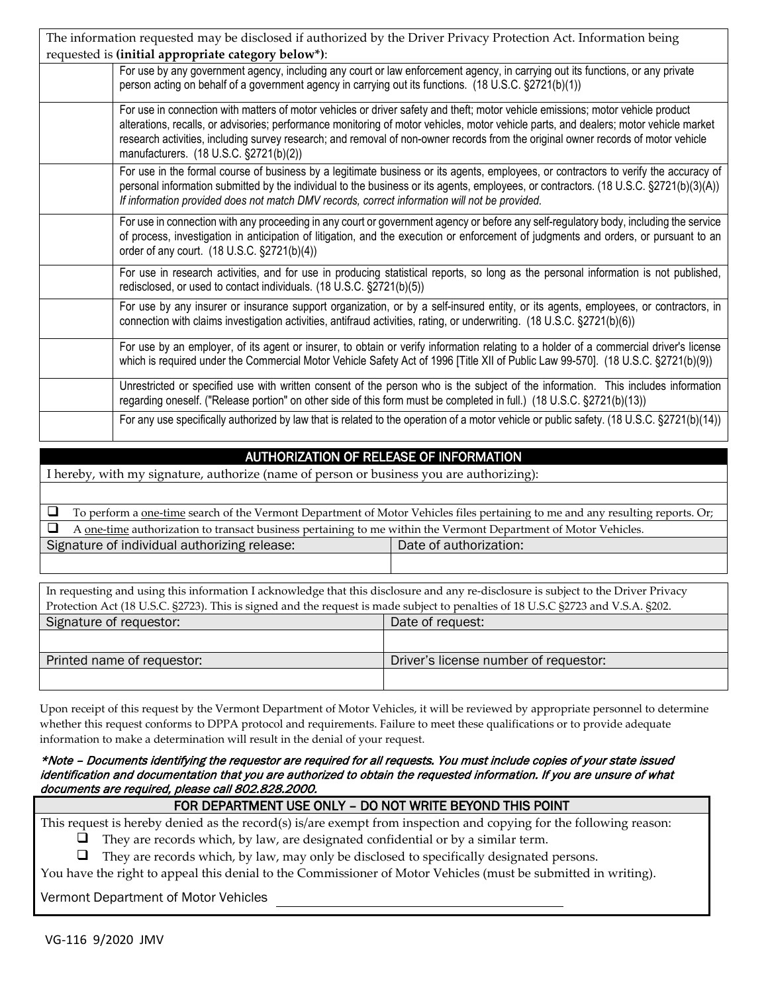| The information requested may be disclosed if authorized by the Driver Privacy Protection Act. Information being                                                                                                                                                                                                                                                                                                                                        |  |  |  |  |
|---------------------------------------------------------------------------------------------------------------------------------------------------------------------------------------------------------------------------------------------------------------------------------------------------------------------------------------------------------------------------------------------------------------------------------------------------------|--|--|--|--|
| requested is (initial appropriate category below*):                                                                                                                                                                                                                                                                                                                                                                                                     |  |  |  |  |
| For use by any government agency, including any court or law enforcement agency, in carrying out its functions, or any private<br>person acting on behalf of a government agency in carrying out its functions. (18 U.S.C. §2721(b)(1))                                                                                                                                                                                                                 |  |  |  |  |
| For use in connection with matters of motor vehicles or driver safety and theft; motor vehicle emissions; motor vehicle product<br>alterations, recalls, or advisories; performance monitoring of motor vehicles, motor vehicle parts, and dealers; motor vehicle market<br>research activities, including survey research; and removal of non-owner records from the original owner records of motor vehicle<br>manufacturers. (18 U.S.C. §2721(b)(2)) |  |  |  |  |
| For use in the formal course of business by a legitimate business or its agents, employees, or contractors to verify the accuracy of<br>personal information submitted by the individual to the business or its agents, employees, or contractors. (18 U.S.C. §2721(b)(3)(A))<br>If information provided does not match DMV records, correct information will not be provided.                                                                          |  |  |  |  |
| For use in connection with any proceeding in any court or government agency or before any self-regulatory body, including the service<br>of process, investigation in anticipation of litigation, and the execution or enforcement of judgments and orders, or pursuant to an<br>order of any court. (18 U.S.C. §2721(b)(4))                                                                                                                            |  |  |  |  |
| For use in research activities, and for use in producing statistical reports, so long as the personal information is not published,<br>redisclosed, or used to contact individuals. (18 U.S.C. §2721(b)(5))                                                                                                                                                                                                                                             |  |  |  |  |
| For use by any insurer or insurance support organization, or by a self-insured entity, or its agents, employees, or contractors, in<br>connection with claims investigation activities, antifraud activities, rating, or underwriting. (18 U.S.C. §2721(b)(6))                                                                                                                                                                                          |  |  |  |  |
| For use by an employer, of its agent or insurer, to obtain or verify information relating to a holder of a commercial driver's license<br>which is required under the Commercial Motor Vehicle Safety Act of 1996 [Title XII of Public Law 99-570]. (18 U.S.C. §2721(b)(9))                                                                                                                                                                             |  |  |  |  |
| Unrestricted or specified use with written consent of the person who is the subject of the information. This includes information<br>regarding oneself. ("Release portion" on other side of this form must be completed in full.) (18 U.S.C. §2721(b)(13))                                                                                                                                                                                              |  |  |  |  |
| For any use specifically authorized by law that is related to the operation of a motor vehicle or public safety. (18 U.S.C. §2721(b)(14))                                                                                                                                                                                                                                                                                                               |  |  |  |  |

# AUTHORIZATION OF RELEASE OF INFORMATION

I hereby, with my signature, authorize (name of person or business you are authorizing):

| To perform a <u>one-time</u> search of the Vermont Department of Motor Vehicles files pertaining to me and any resulting reports. Or; |  |  |  |  |
|---------------------------------------------------------------------------------------------------------------------------------------|--|--|--|--|
| $\Box$ A one-time authorization to transact business pertaining to me within the Vermont Department of Motor Vehicles.                |  |  |  |  |
| Signature of individual authorizing release:<br>Date of authorization:                                                                |  |  |  |  |
|                                                                                                                                       |  |  |  |  |

| In requesting and using this information I acknowledge that this disclosure and any re-disclosure is subject to the Driver Privacy |                                       |  |  |  |
|------------------------------------------------------------------------------------------------------------------------------------|---------------------------------------|--|--|--|
| Protection Act (18 U.S.C. §2723). This is signed and the request is made subject to penalties of 18 U.S.C §2723 and V.S.A. §202.   |                                       |  |  |  |
| Signature of requestor:<br>Date of request:                                                                                        |                                       |  |  |  |
|                                                                                                                                    |                                       |  |  |  |
| Printed name of requestor:                                                                                                         | Driver's license number of requestor: |  |  |  |
|                                                                                                                                    |                                       |  |  |  |

Upon receipt of this request by the Vermont Department of Motor Vehicles, it will be reviewed by appropriate personnel to determine whether this request conforms to DPPA protocol and requirements. Failure to meet these qualifications or to provide adequate information to make a determination will result in the denial of your request.

#### \*Note – Documents identifying the requestor are required for all requests. You must include copies of your state issued identification and documentation that you are authorized to obtain the requested information. If you are unsure of what documents are required, please call 802.828.2000.

| FOR DEPARTMENT USE ONLY - DO NOT WRITE BEYOND THIS POINT                                                           |  |  |  |
|--------------------------------------------------------------------------------------------------------------------|--|--|--|
| This request is hereby denied as the record(s) is/are exempt from inspection and copying for the following reason: |  |  |  |
| They are records which, by law, are designated confidential or by a similar term.<br>⊔                             |  |  |  |
| $\Box$ They are recorde which by law may only be disclosed to energing ly decimated newcone                        |  |  |  |

They are records which, by law, may only be disclosed to specifically designated persons.

You have the right to appeal this denial to the Commissioner of Motor Vehicles (must be submitted in writing).

Vermont Department of Motor Vehicles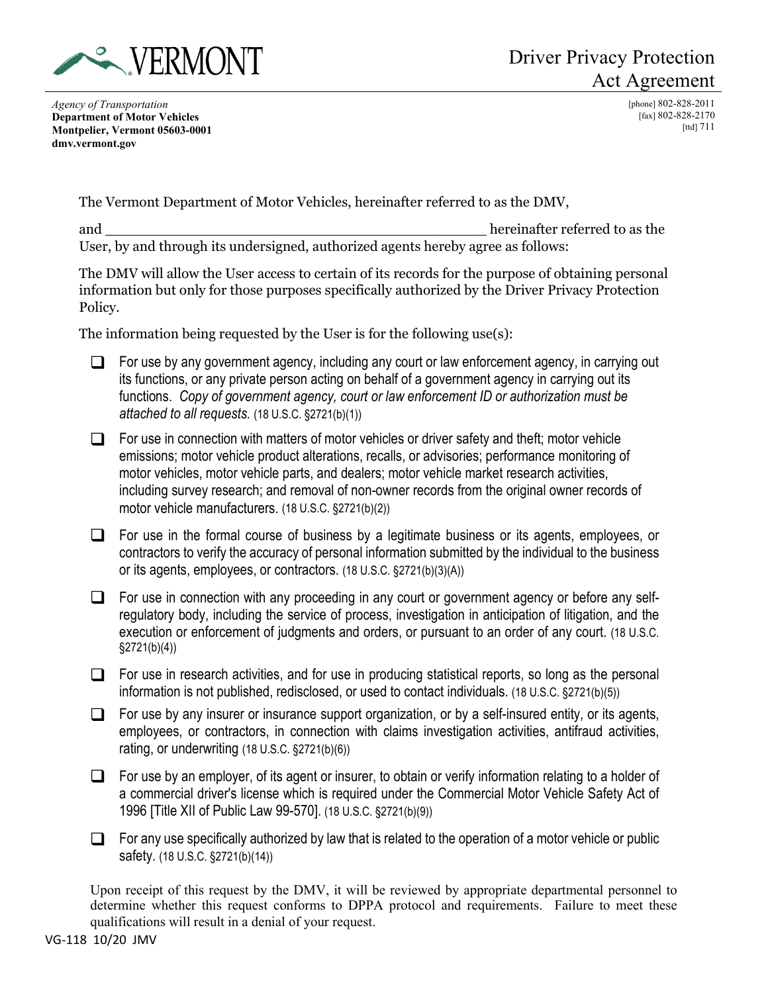

*Agency of Transportation* **Department of Motor Vehicles Montpelier, Vermont 05603-0001 dmv.vermont.gov**

[phone] 802-828-2011 [fax] 802-828-2170 [ttd]  $711$ 

The Vermont Department of Motor Vehicles, hereinafter referred to as the DMV,

and  $\Box$ User, by and through its undersigned, authorized agents hereby agree as follows:

The DMV will allow the User access to certain of its records for the purpose of obtaining personal information but only for those purposes specifically authorized by the Driver Privacy Protection Policy.

The information being requested by the User is for the following use(s):

- $\Box$  For use by any government agency, including any court or law enforcement agency, in carrying out its functions, or any private person acting on behalf of a government agency in carrying out its functions. *Copy of government agency, court or law enforcement ID or authorization must be attached to all requests.* (18 U.S.C. §2721(b)(1))
- $\Box$  For use in connection with matters of motor vehicles or driver safety and theft; motor vehicle emissions; motor vehicle product alterations, recalls, or advisories; performance monitoring of motor vehicles, motor vehicle parts, and dealers; motor vehicle market research activities, including survey research; and removal of non-owner records from the original owner records of motor vehicle manufacturers. (18 U.S.C. §2721(b)(2))
- $\Box$  For use in the formal course of business by a legitimate business or its agents, employees, or contractors to verify the accuracy of personal information submitted by the individual to the business or its agents, employees, or contractors. (18 U.S.C. §2721(b)(3)(A))
- $\Box$  For use in connection with any proceeding in any court or government agency or before any selfregulatory body, including the service of process, investigation in anticipation of litigation, and the execution or enforcement of judgments and orders, or pursuant to an order of any court. (18 U.S.C. §2721(b)(4))
- $\Box$  For use in research activities, and for use in producing statistical reports, so long as the personal information is not published, redisclosed, or used to contact individuals. (18 U.S.C. §2721(b)(5))
- $\Box$  For use by any insurer or insurance support organization, or by a self-insured entity, or its agents, employees, or contractors, in connection with claims investigation activities, antifraud activities, rating, or underwriting (18 U.S.C. §2721(b)(6))
- $\Box$  For use by an employer, of its agent or insurer, to obtain or verify information relating to a holder of a commercial driver's license which is required under the Commercial Motor Vehicle Safety Act of 1996 [Title XII of Public Law 99-570]. (18 U.S.C. §2721(b)(9))
- $\Box$  For any use specifically authorized by law that is related to the operation of a motor vehicle or public safety. (18 U.S.C. §2721(b)(14))

Upon receipt of this request by the DMV, it will be reviewed by appropriate departmental personnel to determine whether this request conforms to DPPA protocol and requirements. Failure to meet these qualifications will result in a denial of your request.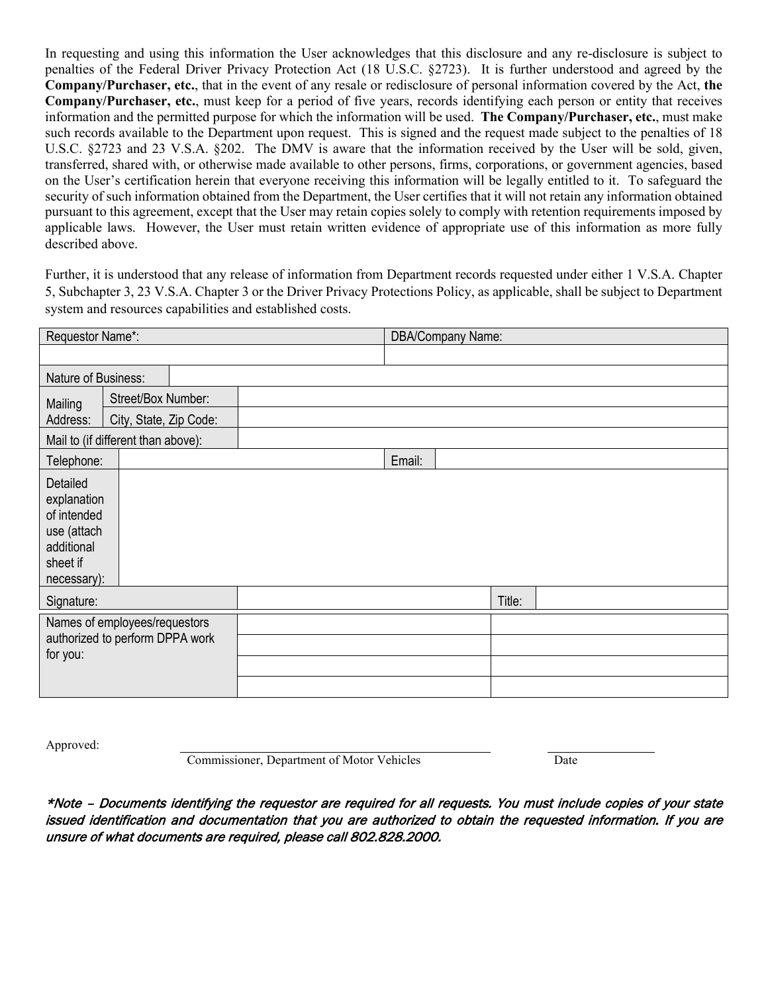In requesting and using this information the User acknowledges that this disclosure and any re-disclosure is subject to penalties of the Federal Driver Privacy Protection Act (18 U.S.C. §2723). It is further understood and agreed by the **Company/Purchaser, etc.**, that in the event of any resale or redisclosure of personal information covered by the Act, **the Company/Purchaser, etc.**, must keep for a period of five years, records identifying each person or entity that receives information and the permitted purpose for which the information will be used. **The Company/Purchaser, etc.**, must make such records available to the Department upon request. This is signed and the request made subject to the penalties of 18 U.S.C. §2723 and 23 V.S.A. §202. The DMV is aware that the information received by the User will be sold, given, transferred, shared with, or otherwise made available to other persons, firms, corporations, or government agencies, based on the User's certification herein that everyone receiving this information will be legally entitled to it. To safeguard the security of such information obtained from the Department, the User certifies that it will not retain any information obtained pursuant to this agreement, except that the User may retain copies solely to comply with retention requirements imposed by applicable laws. However, the User must retain written evidence of appropriate use of this information as more fully described above.

Further, it is understood that any release of information from Department records requested under either 1 V.S.A. Chapter 5, Subchapter 3, 23 V.S.A. Chapter 3 or the Driver Privacy Protections Policy, as applicable, shall be subject to Department system and resources capabilities and established costs.

| Requestor Name*:                                                                               |                                    | DBA/Company Name: |        |        |  |
|------------------------------------------------------------------------------------------------|------------------------------------|-------------------|--------|--------|--|
|                                                                                                |                                    |                   |        |        |  |
| Nature of Business:                                                                            |                                    |                   |        |        |  |
| Street/Box Number:<br>Mailing                                                                  |                                    |                   |        |        |  |
| Address:                                                                                       | City, State, Zip Code:             |                   |        |        |  |
|                                                                                                | Mail to (if different than above): |                   |        |        |  |
| Telephone:                                                                                     |                                    |                   | Email: |        |  |
| Detailed<br>explanation<br>of intended<br>use (attach<br>additional<br>sheet if<br>necessary): |                                    |                   |        |        |  |
| Signature:                                                                                     |                                    |                   |        | Title: |  |
| Names of employees/requestors<br>authorized to perform DPPA work                               |                                    |                   |        |        |  |
| for you:                                                                                       |                                    |                   |        |        |  |
|                                                                                                |                                    |                   |        |        |  |
|                                                                                                |                                    |                   |        |        |  |

Approved:

**Commissioner, Department of Motor Vehicles** Date

\*Note – Documents identifying the requestor are required for all requests. You must include copies of your state issued identification and documentation that you are authorized to obtain the requested information. If you are unsure of what documents are required, please call 802.828.2000.